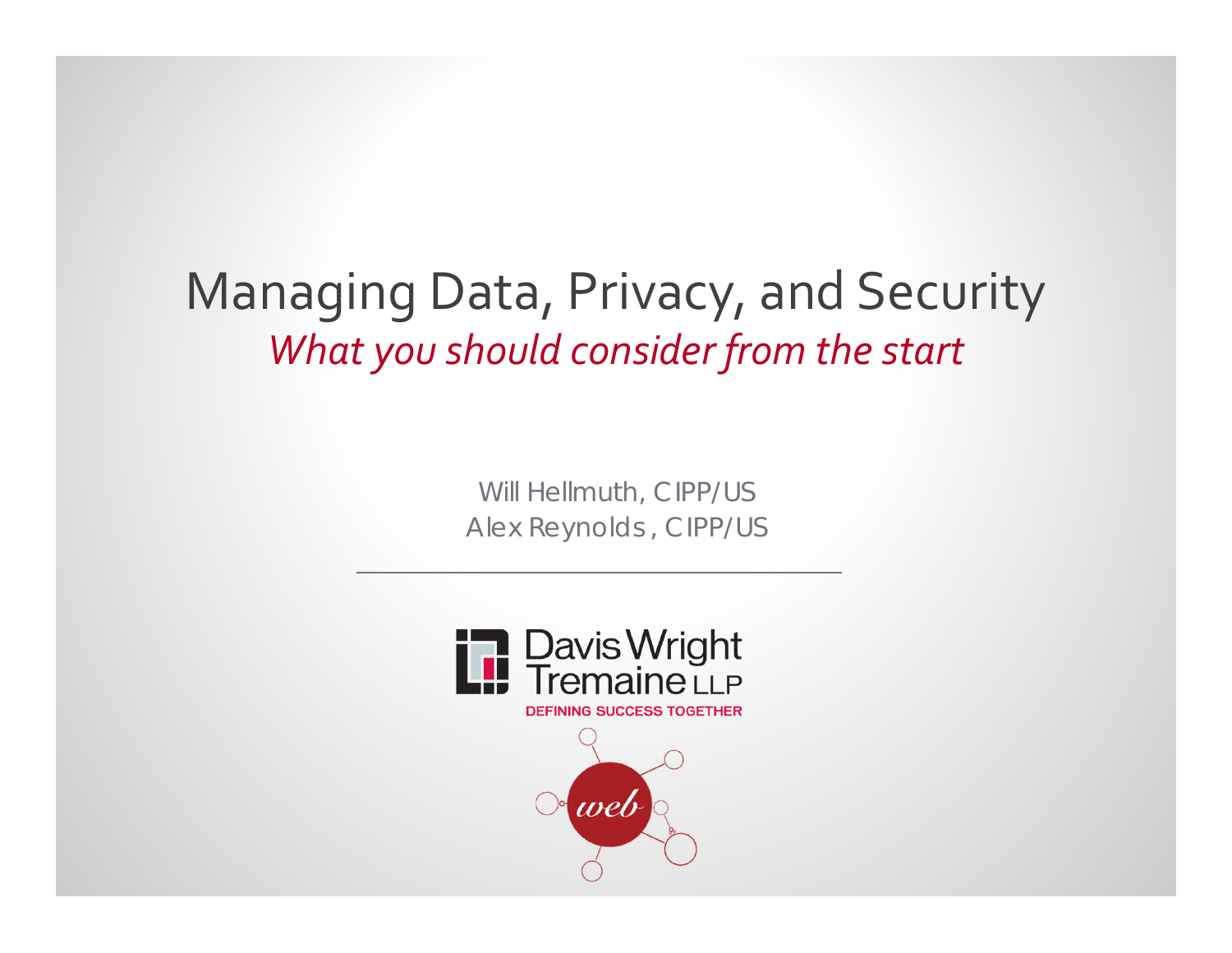### Managing Data, Privacy, and Security *What you should consider from the start*

*Will Hellmuth, CIPP/US Alex Reynolds , CIPP/US*



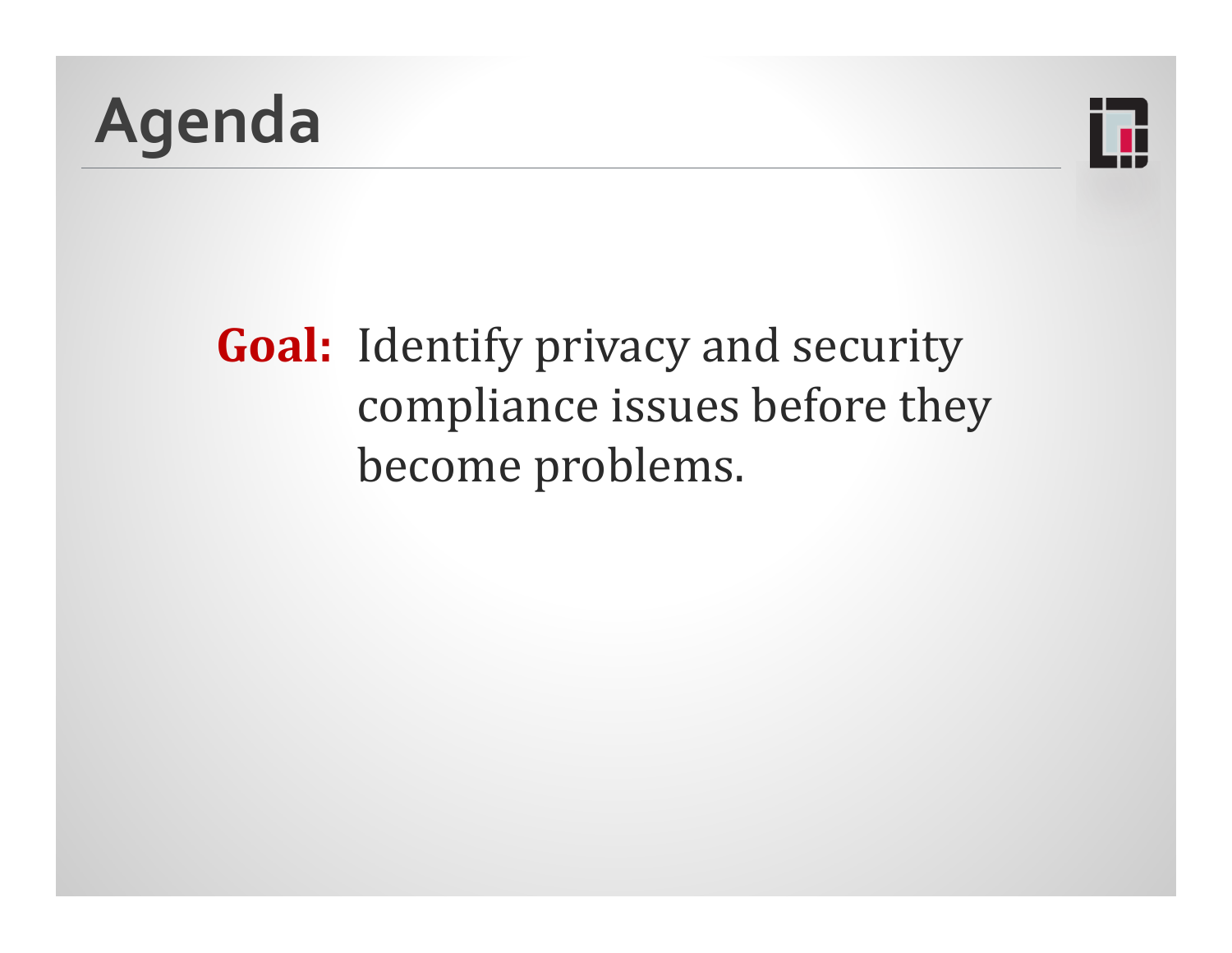



### **Goal:** Identify privacy and security compliance issues before they become problems.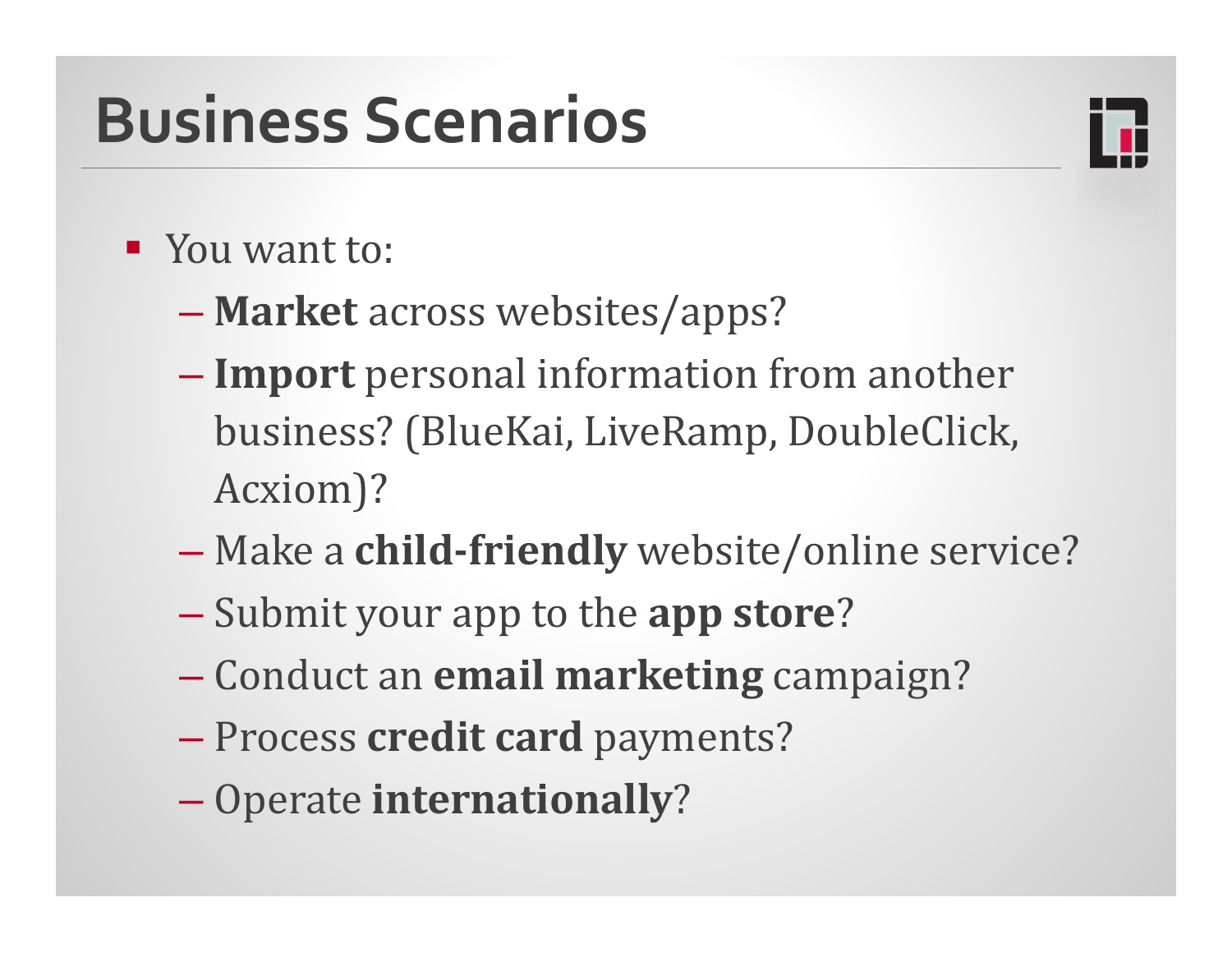## **Business Scenarios**



- **T** You want to:
	- **Market** across websites/apps?
	- **Import** personal information from another business? (BlueKai, LiveRamp, DoubleClick, Acxiom)?
	- **Make a child-friendly** website/online service?
	- **-** Submit your app to the **app store**?
	- Conduct an **email marketing** campaign?
	- Process **credit card** payments?
	- **Operate internationally?**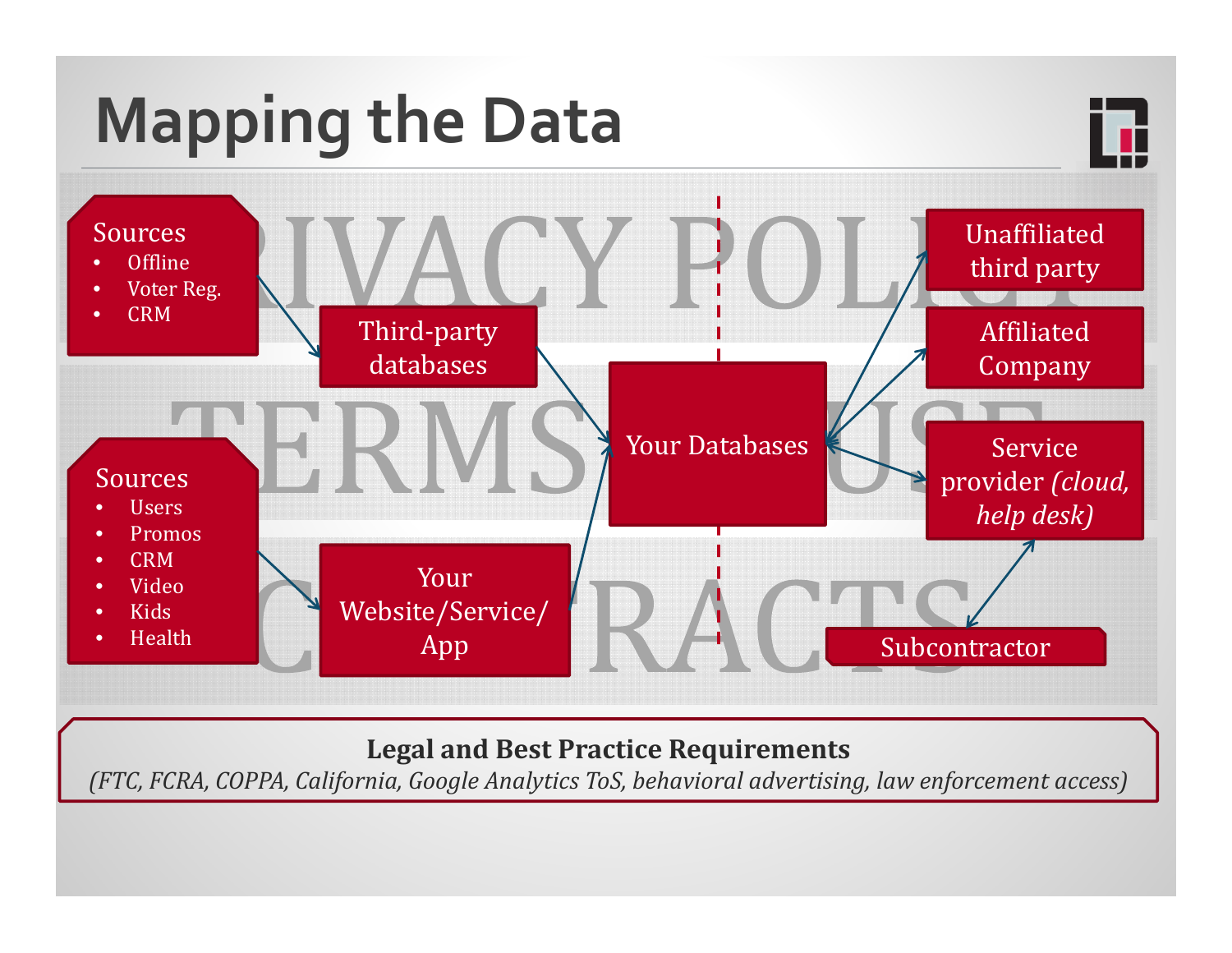

### **Legal and Best Practice Requirements**

*(FTC, FCRA, COPPA, California, Google Analytics ToS, behavioral advertising, law enforcement access)*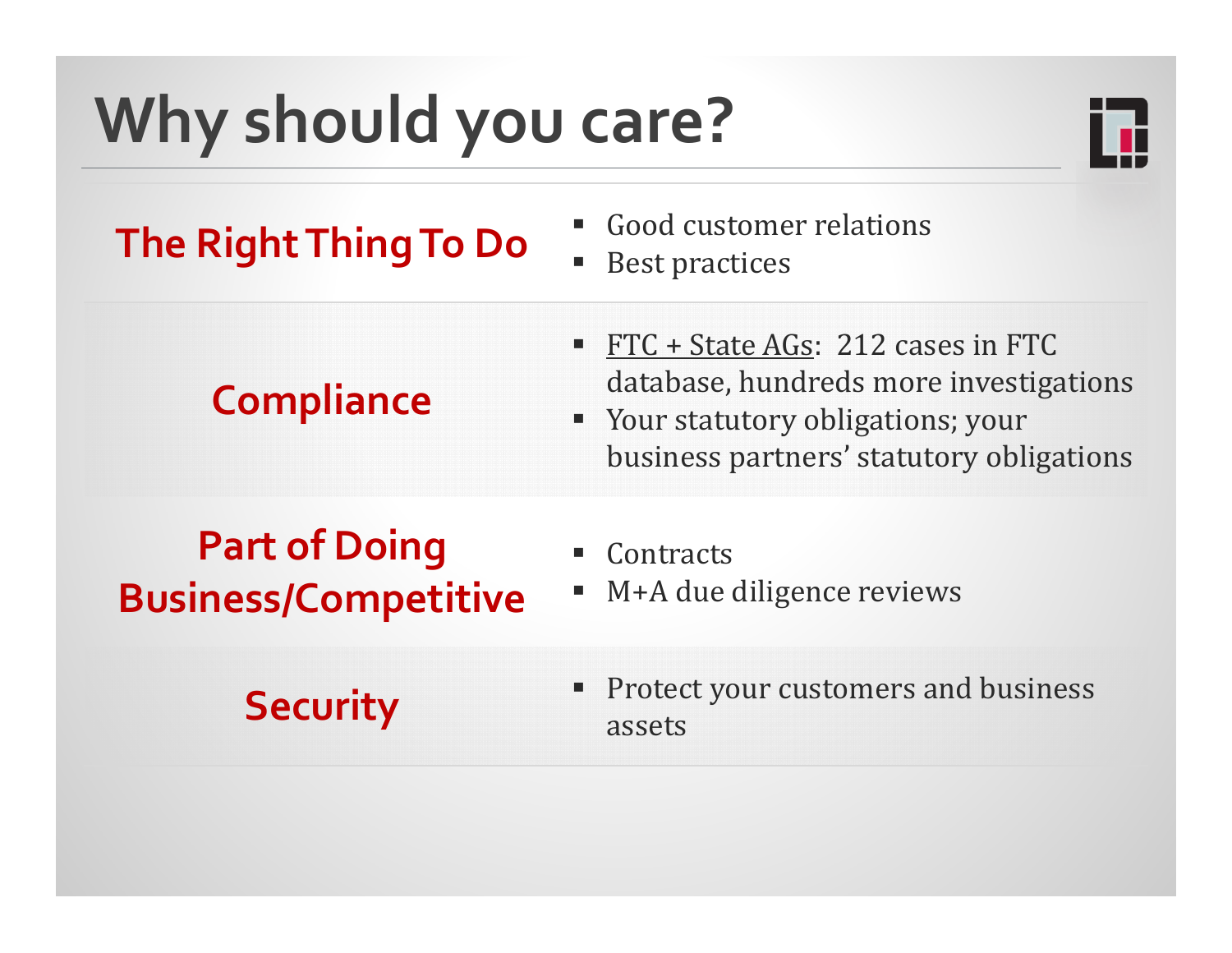# **Why should you care?**



### **The Right Thing To Do C** Best practices

- 
- Best practices

### **Compliance**

- **Service Service**  $FTC + State AGs: 212 cases in FTC$ database, hundreds more investigations
- **Table 3 Your statutory obligations; your** business partners' statutory obligations

### **Part of Doing Business/Competitive**

- e<br>Li **Contracts**
- e<br>Li M+A due diligence reviews

**Security** Protect your customers and business assets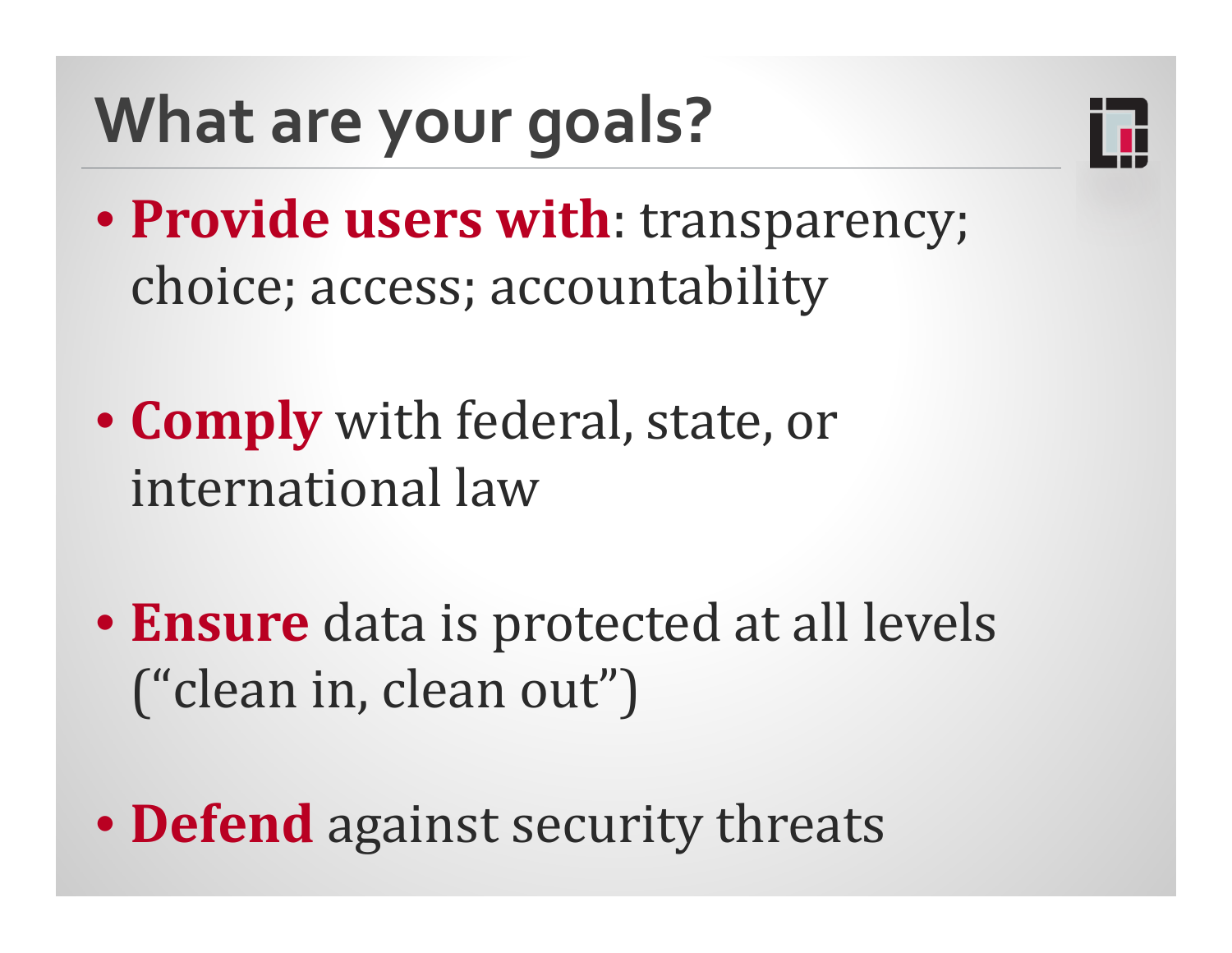# **What are your goals?**



- **Provide users with**: transparency; choice; access; accountability
- **Comply** with federal, state, or international law
- **Ensure** data is protected at all levels ("clean in, clean out")
- **Defend** against security threats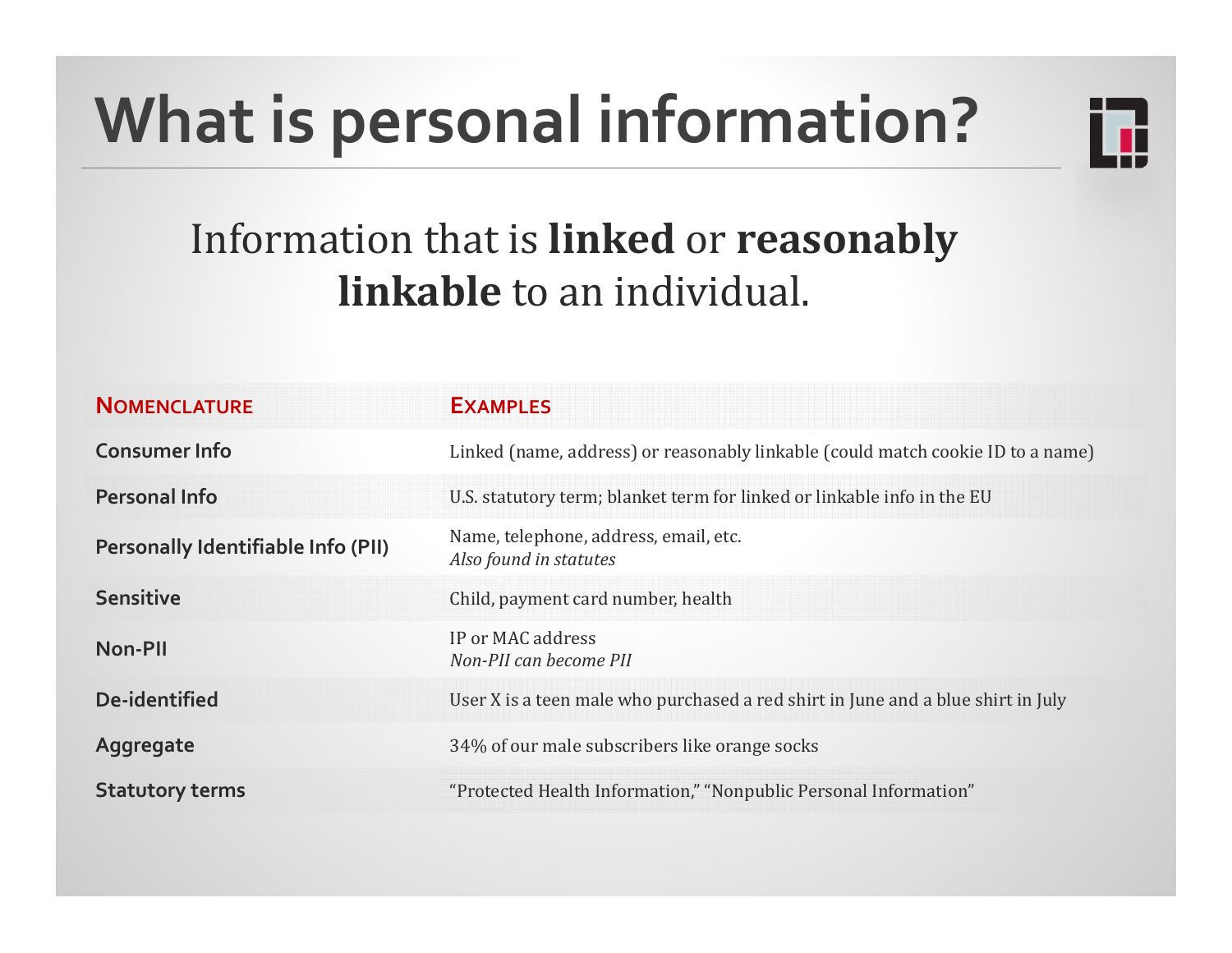# **What is personal information?**



### **Information that is linked or reasonably linkable** to an individual.

| <b>NOMENCLATURE</b>                       | <b>EXAMPLES</b>                                                                  |
|-------------------------------------------|----------------------------------------------------------------------------------|
| <b>Consumer Info</b>                      | Linked (name, address) or reasonably linkable (could match cookie ID to a name)  |
| <b>Personal Info</b>                      | U.S. statutory term; blanket term for linked or linkable info in the EU          |
| <b>Personally Identifiable Info (PII)</b> | Name, telephone, address, email, etc.<br>Also found in statutes                  |
| <b>Sensitive</b>                          | Child, payment card number, health                                               |
| Non-PII                                   | IP or MAC address<br>Non-PII can become PII                                      |
| De-identified                             | User X is a teen male who purchased a red shirt in June and a blue shirt in July |
| Aggregate                                 | 34% of our male subscribers like orange socks                                    |
| <b>Statutory terms</b>                    | "Protected Health Information," "Nonpublic Personal Information"                 |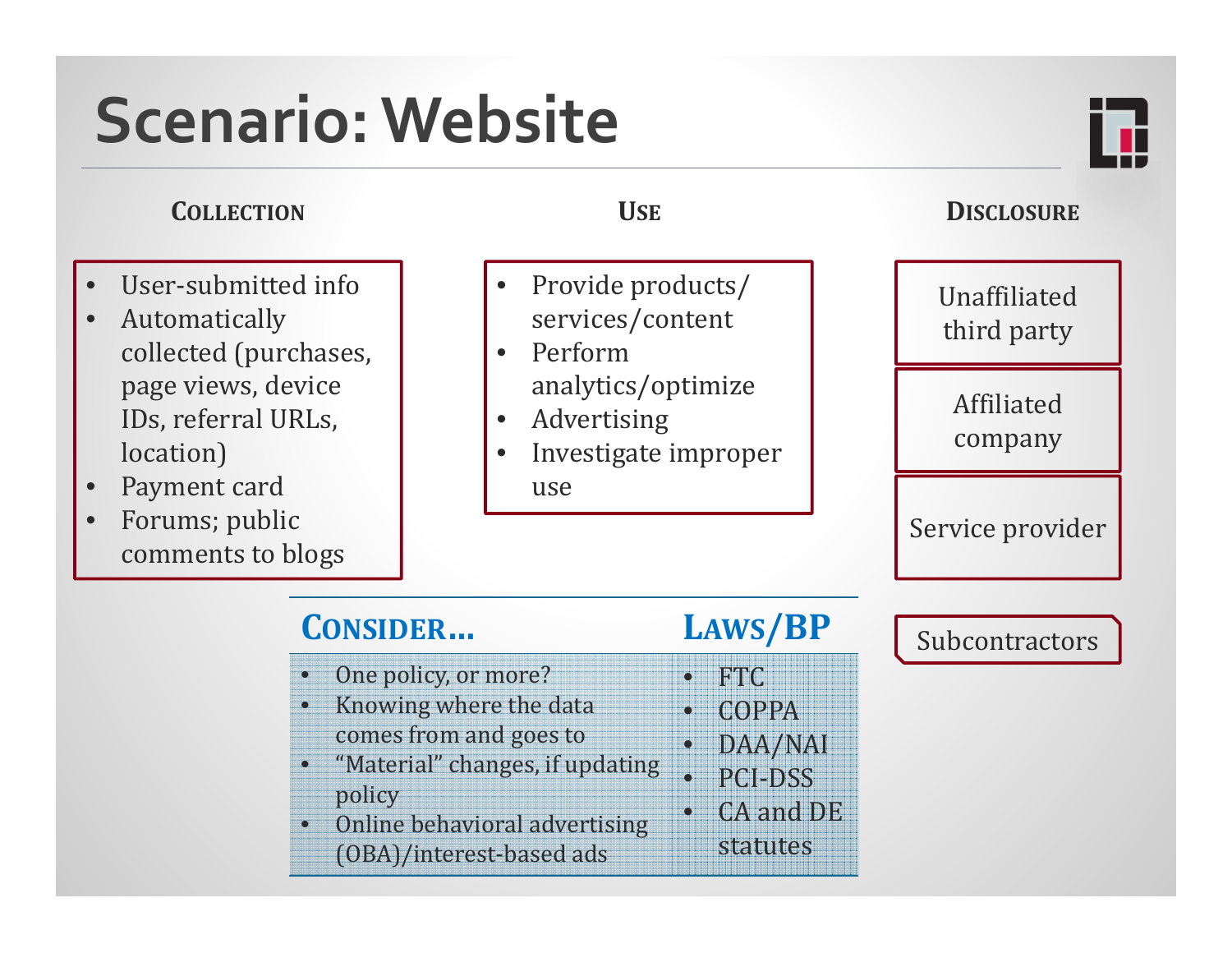## **Scenario:Website**

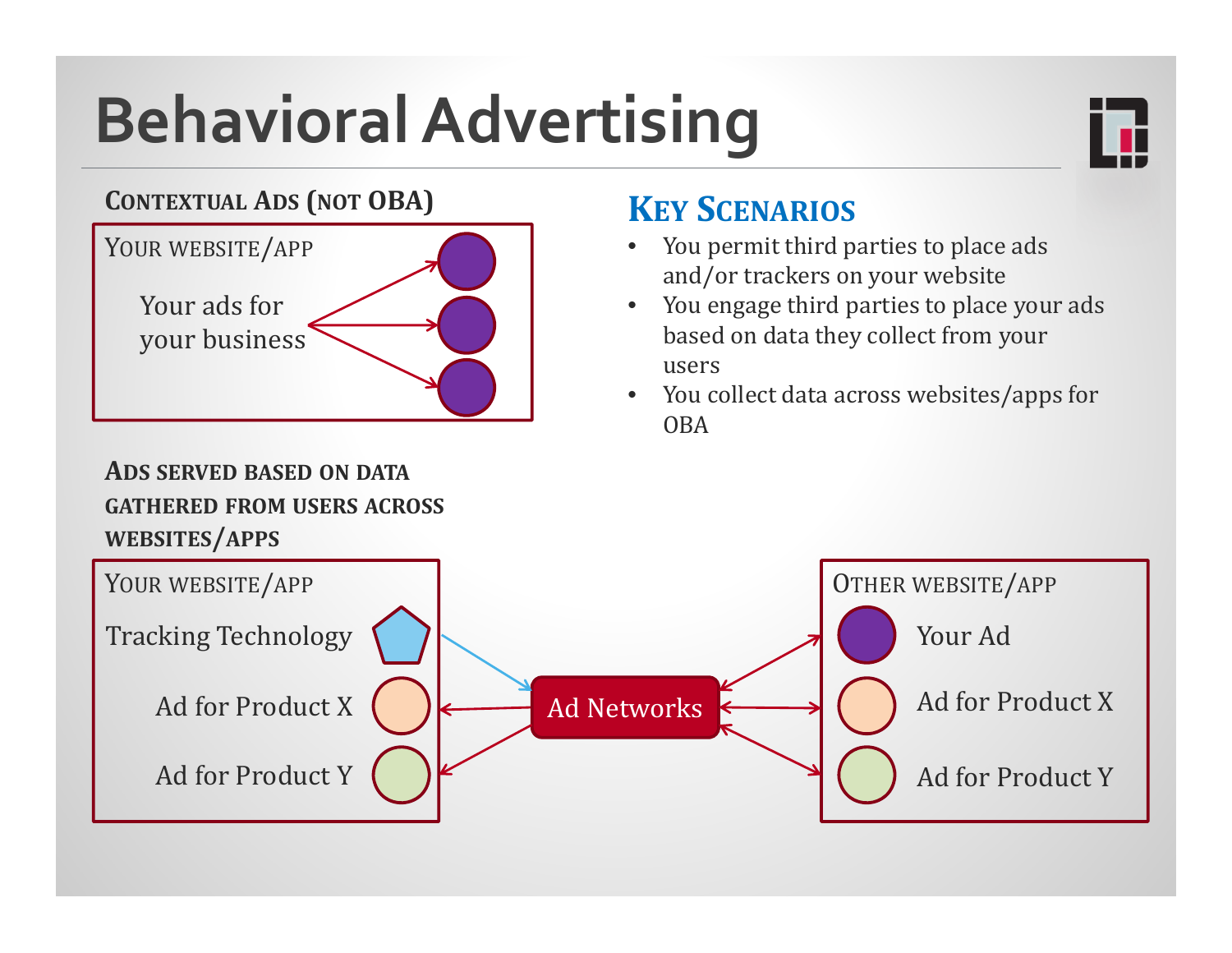# **BehavioralAdvertising**



### **CONTEXTUAL ADS (NOT OBA)**



### **KEY SCENARIOS**

- •You permit third parties to place ads and/or trackers on your website
- •You engage third parties to place your ads based on data they collect from your users
- $\bullet$ You collect data across websites/apps for OBA

### **ADS SERVED BASED ON DATAGATHERED FROM USERS ACROSSWEBSITES/APPS**

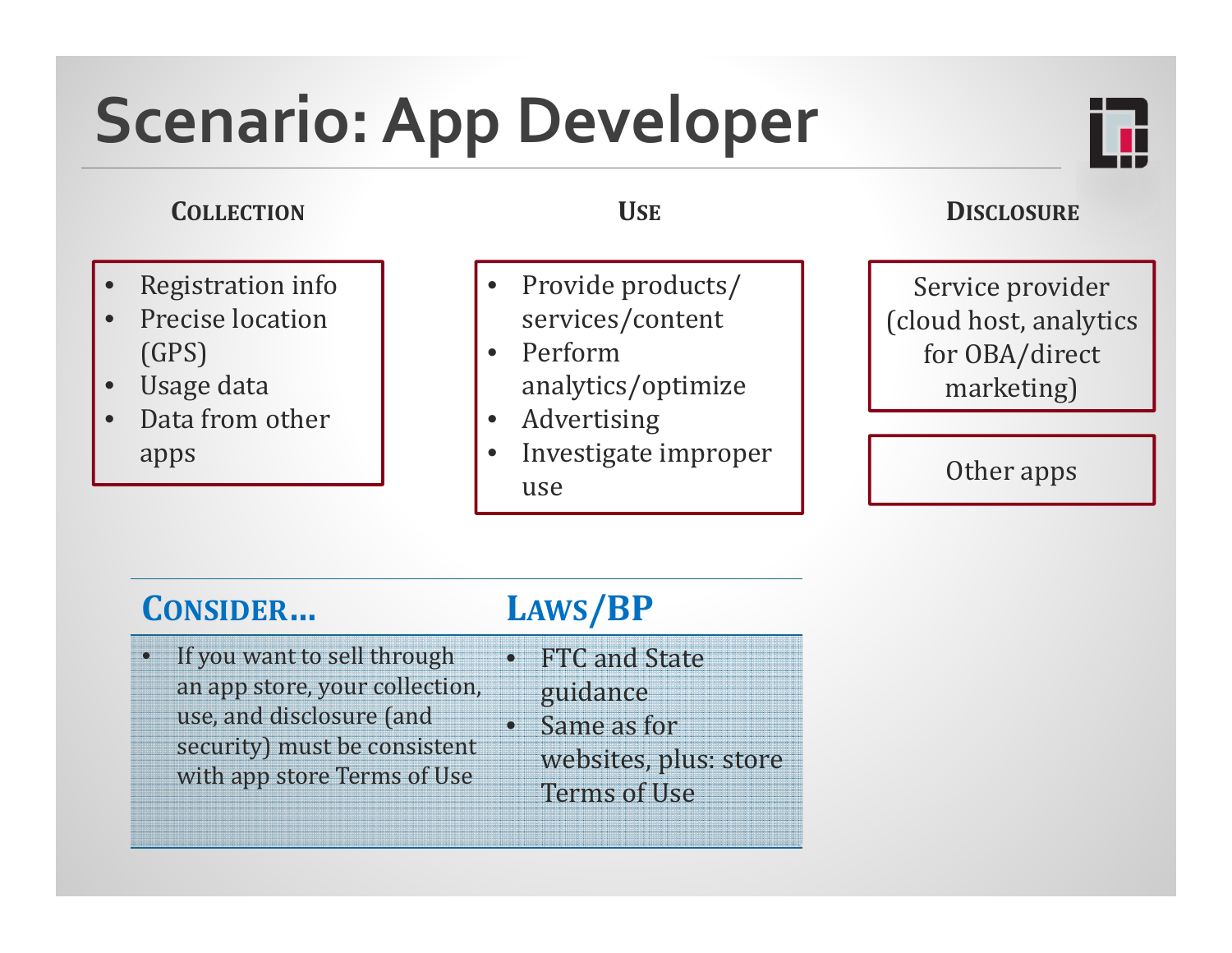## **Scenario:App Developer**

### **COLLECTION**

- •Registration info
- •Precise location (GPS)
- •Usage data
- •Data from other apps

- •Provide products/ services/content
- Perform analytics/optimize
- Advertising
- •Investigate improper use

### **USE DISCLOSURE**

Service provider (cloud host, analytics for OBA/direct marketing)

### Other apps

### **CONSIDER… LAWS/BP**

If you want to sell through

use, and disclosure (and

an app store, your collection,

security) must be consistent with app store Terms of Use

•

- FTC and State
	- guidance
	- •Same as for websites, plus: store Terms of Use

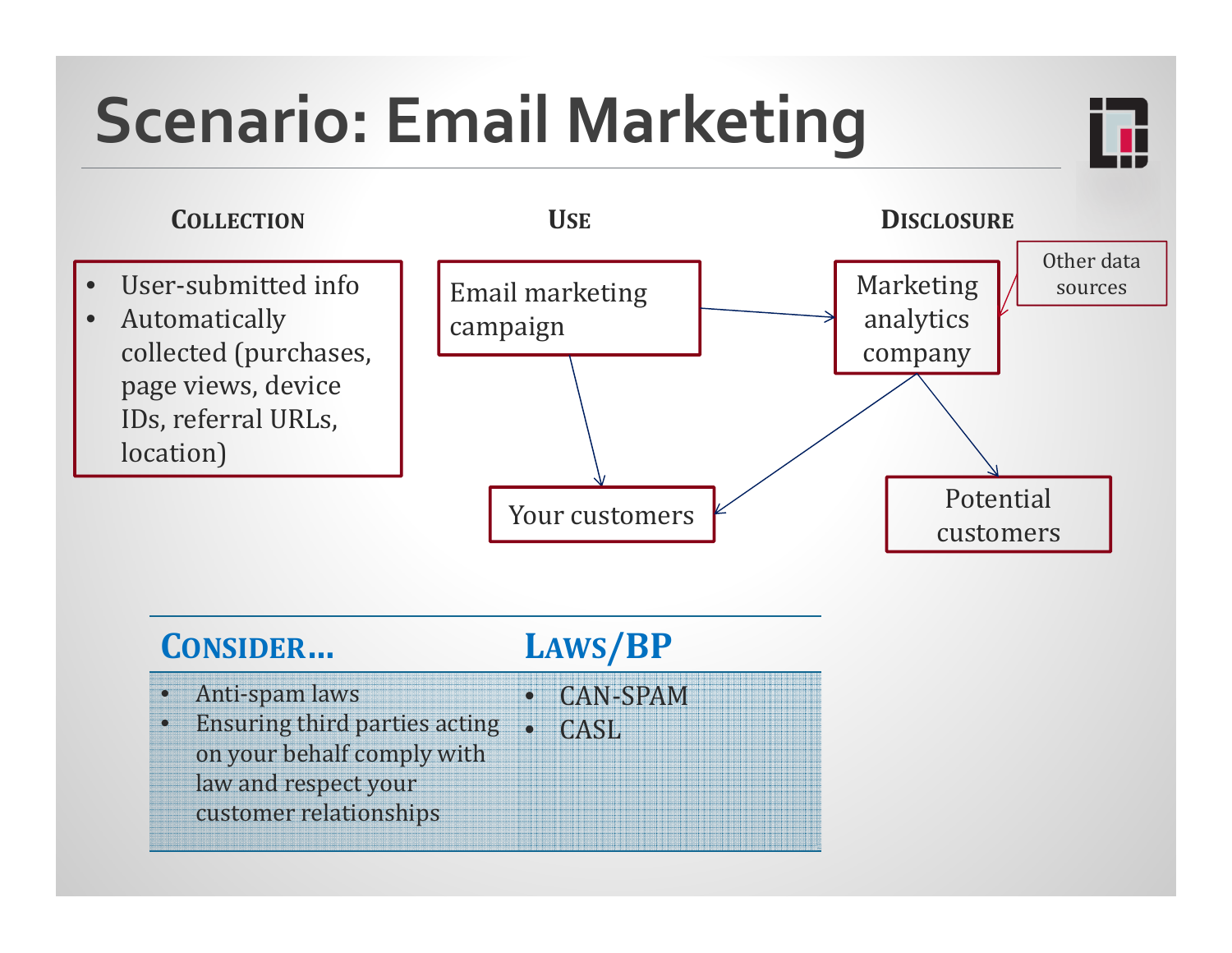# **Scenario: Email Marketing**



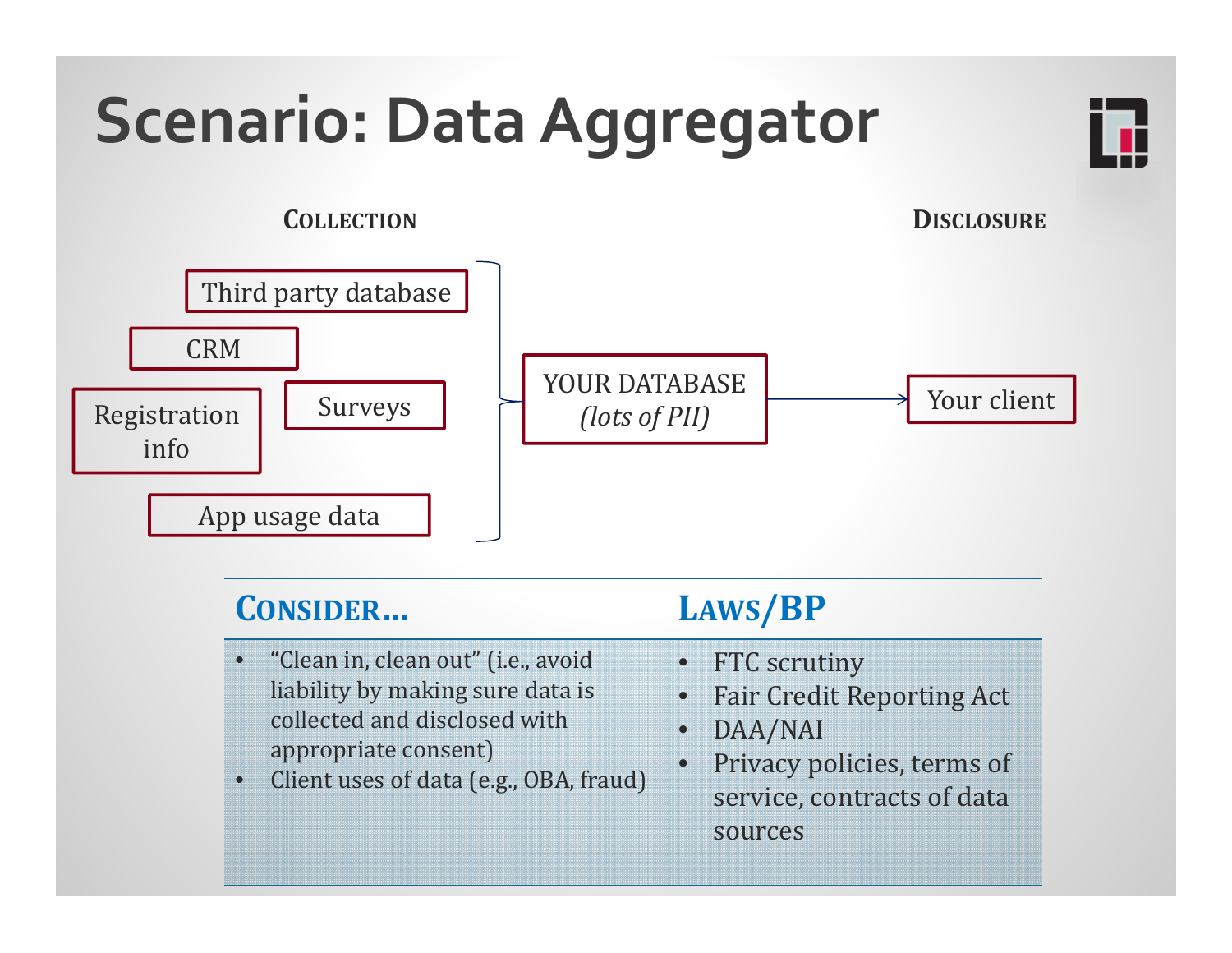# **Scenario: Data Aggregator**





- •"Clean in, clean out" (i.e., avoid liability by making sure data is collected and disclosed with appropriate consent)
- $\circ$ Client uses of data (e.g., OBA, fraud)
- $\mathbf{Q}_i$ **FTC** scrutiny
- $\bullet$ Fair Credit Reporting Act
- $\bullet$ DAA/NAI
- $\bullet$ Privacy policies, terms of service, contracts of data sources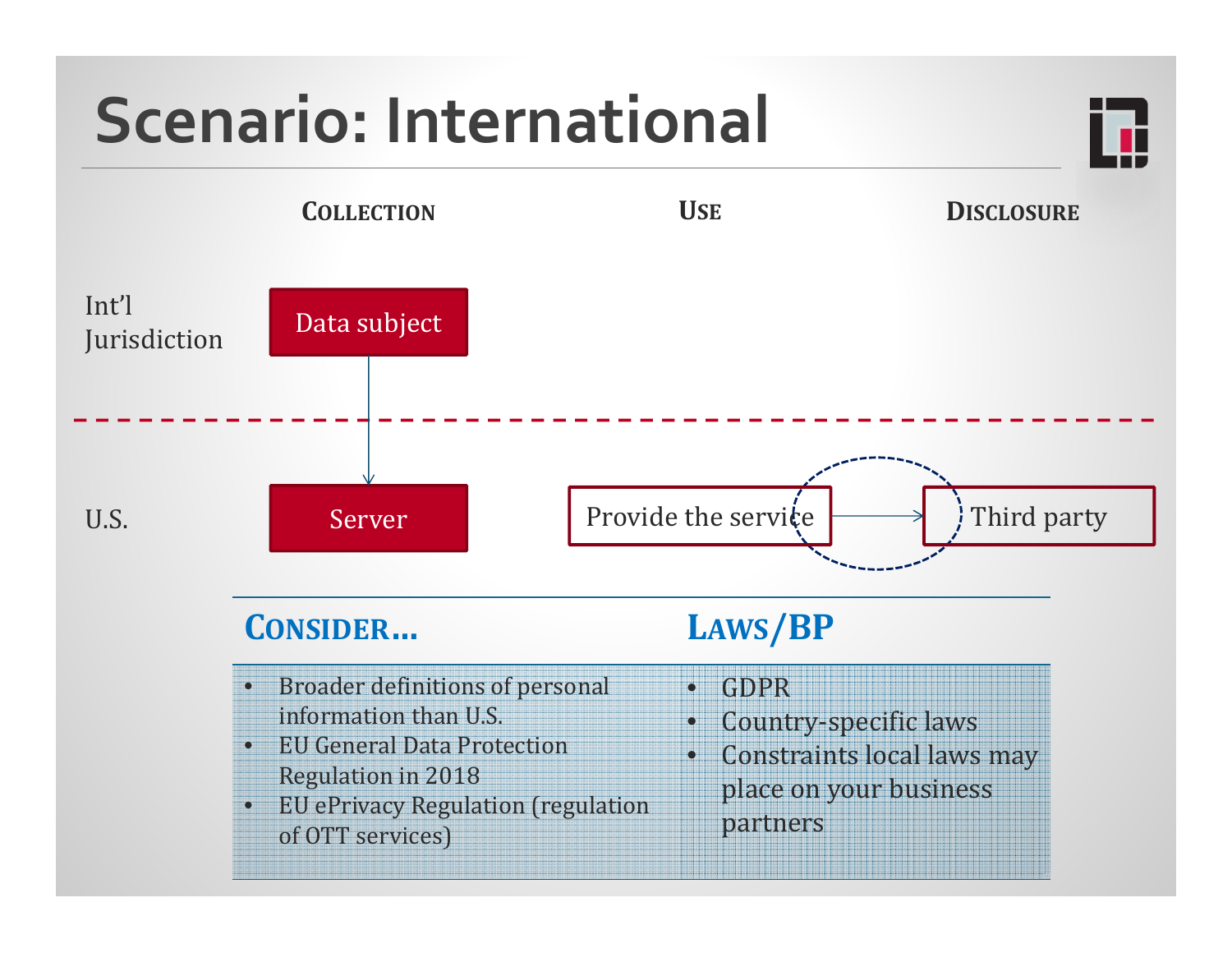## **Scenario: International**

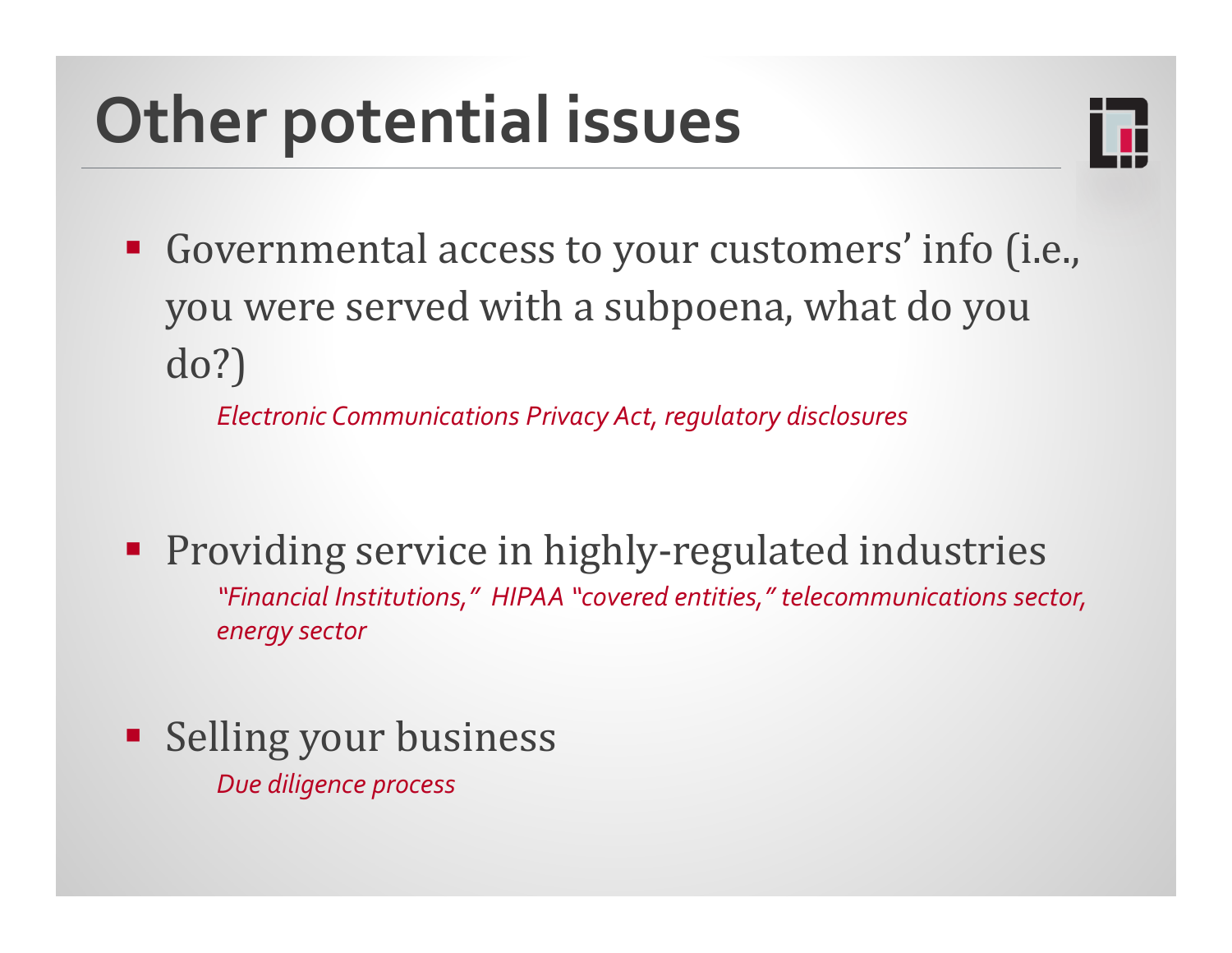## **Other potential issues**



■ Governmental access to your customers' info (i.e., you were served with a subpoena, what do you do?)

*Electronic Communications Privacy Act, regulatory disclosures*

■ Providing service in highly-regulated industries *"Financial Institutions," HIPAA "covered entities," telecommunications sector, energy sector*

**Selling your business** *Due diligence process*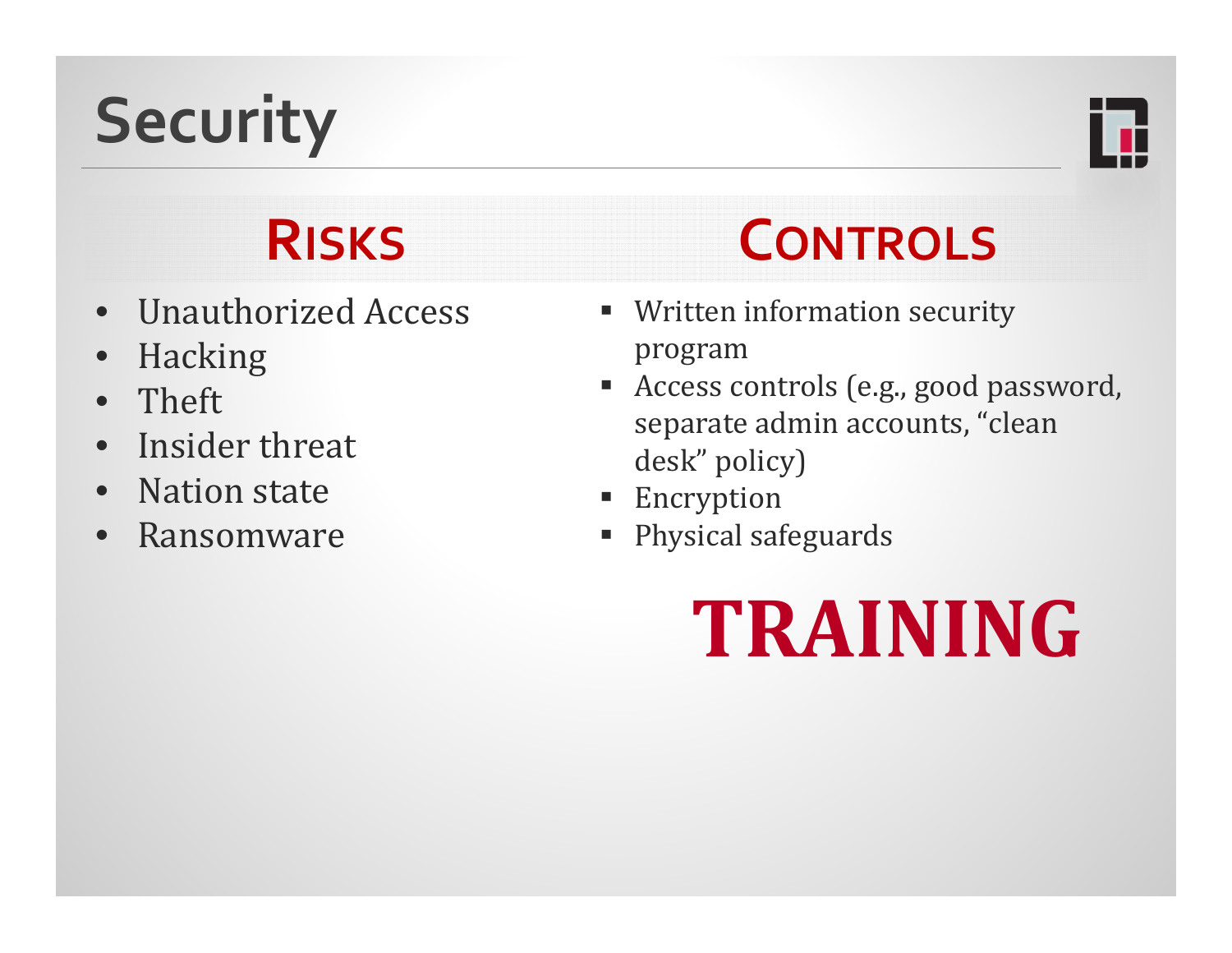# **Security**



## **RISKS**

- $\bullet$ Unauthorized Access
- $\bullet$ Hacking
- $\bullet$ Theft
- $\bullet$ Insider threat
- $\bullet$ • Nation state
- $\bullet$ Ransomware

### **CONTROLS**

- **Written information security** program
- $\blacksquare$ Access controls (e.g., good password, separate admin accounts, "clean desk" policy)
- $\blacksquare$ Encryption
- T. Physical safeguards

# **TRAINING**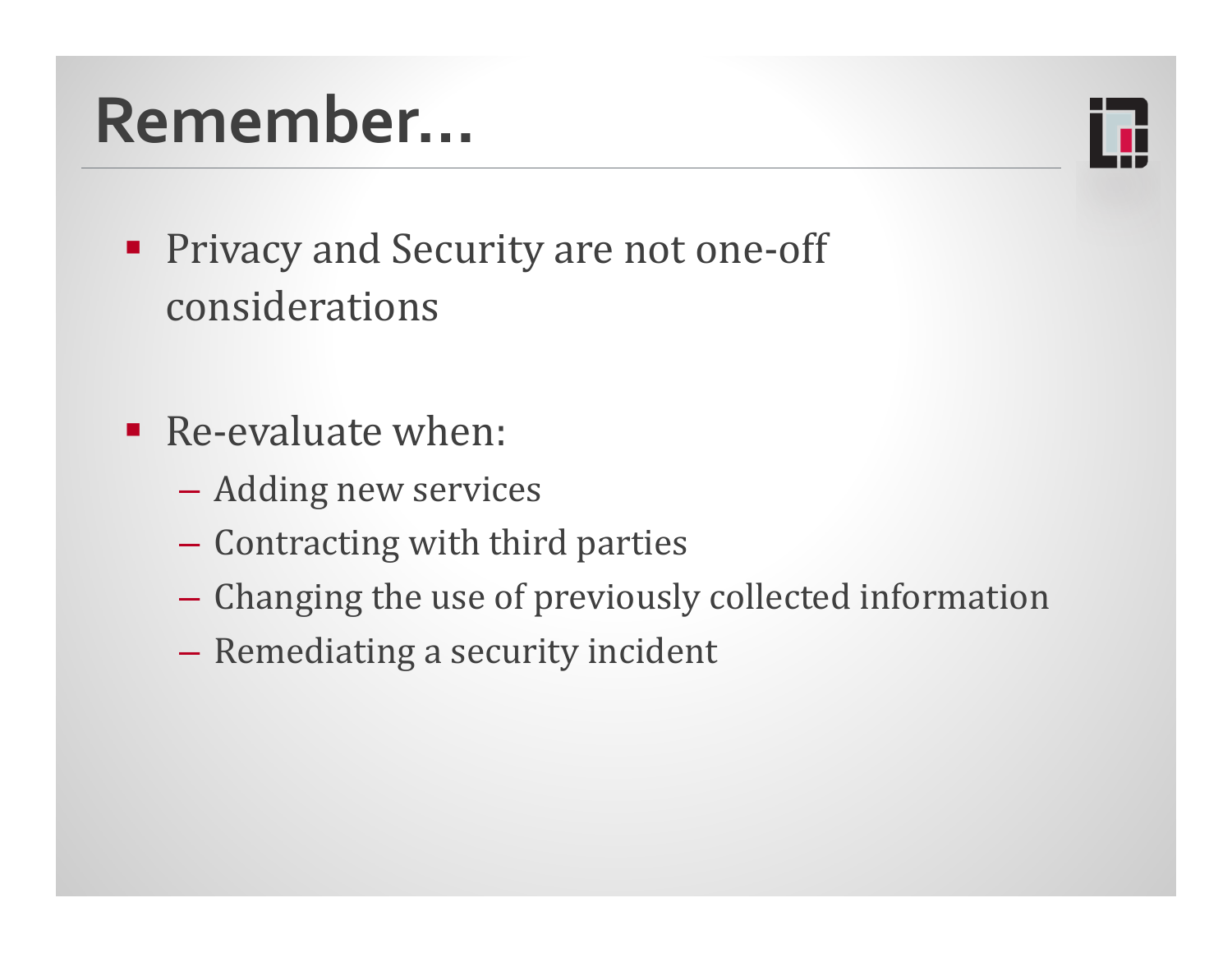## **Remember…**



- Privacy and Security are not one-off considerations
- $\blacksquare$  Re-evaluate when:
	- Adding new services
	- $-$  Contracting with third parties
	- $-$  Changing the use of previously collected information
	- $\mathcal{L}_{\mathcal{A}}$  $-$  Remediating a security incident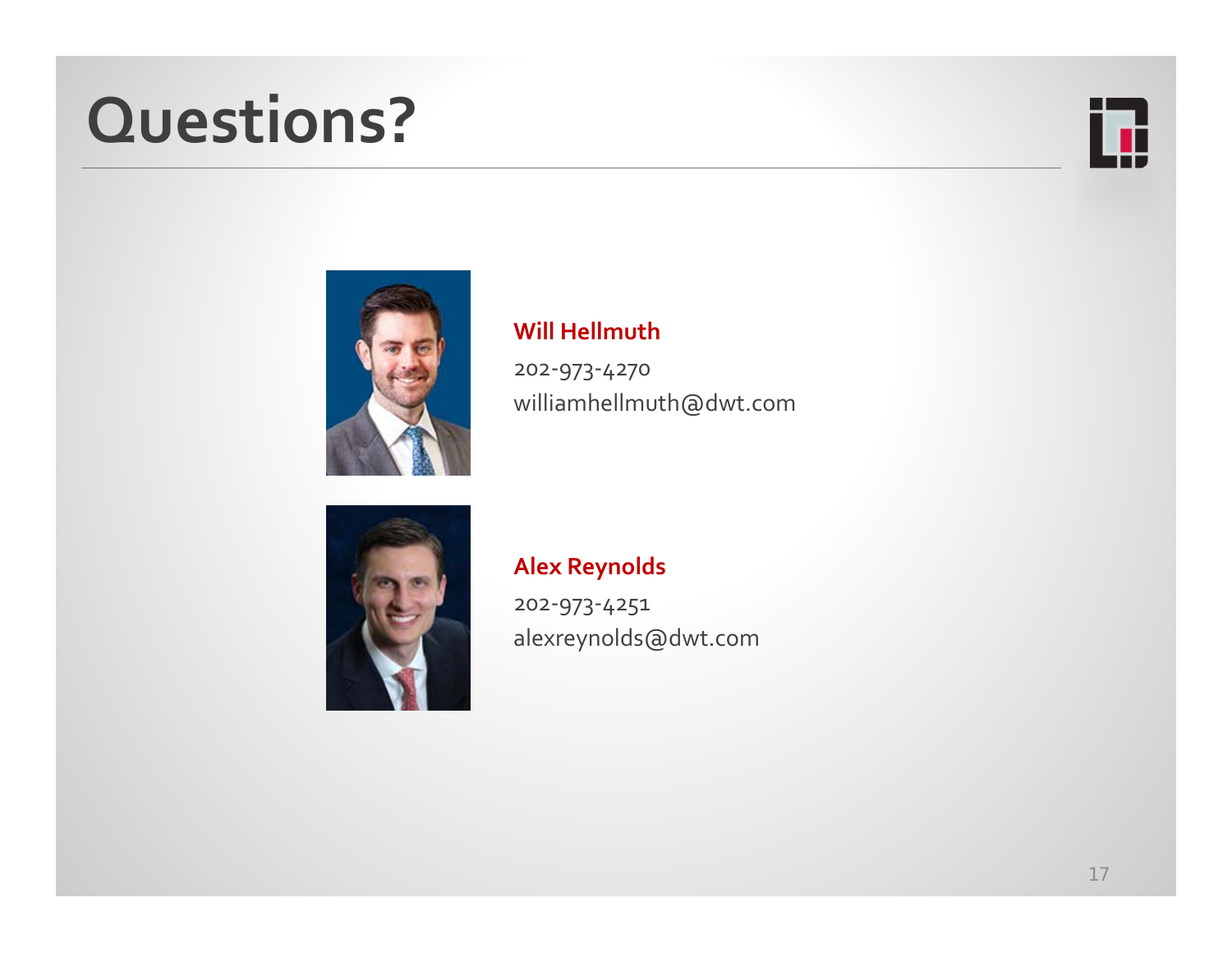## **Questions?**





### **Will Hellmuth**

202‐973‐4270 williamhellmuth@dwt.com



### **Alex Reynolds**

202‐973‐4251 alexreynolds@dwt.com